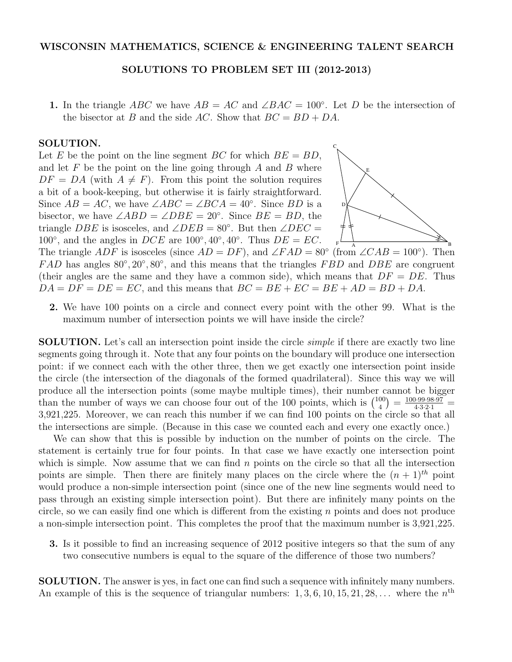## SOLUTIONS TO PROBLEM SET III (2012-2013)

1. In the triangle *ABC* we have  $AB = AC$  and  $\angle BAC = 100^{\circ}$ . Let *D* be the intersection of the bisector at *B* and the side *AC*. Show that  $BC = BD + DA$ .

## SOLUTION.

Let *E* be the point on the line segment *BC* for which  $BE = BD$ , and let *F* be the point on the line going through *A* and *B* where  $DF = DA$  (with  $A \neq F$ ). From this point the solution requires a bit of a book-keeping, but otherwise it is fairly straightforward. Since  $AB = AC$ , we have  $\angle ABC = \angle BCA = 40^{\circ}$ . Since *BD* is a bisector, we have  $\angle ABD = \angle DBE = 20^\circ$ . Since  $BE = BD$ , the triangle *DBE* is isosceles, and  $\angle DEB = 80^\circ$ . But then  $\angle DEC =$ 100°, and the angles in *DCE* are  $100^\circ, 40^\circ, 40^\circ$ . Thus  $DE = EC$ .



The triangle *ADF* is isosceles (since  $AD = DF$ ), and  $\angle FAD = 80^{\circ}$  (from  $\angle CAB = 100^{\circ}$ ). Then *FAD* has angles  $80^{\circ}, 20^{\circ}, 80^{\circ}$ , and this means that the triangles *FBD* and *DBE* are congruent (their angles are the same and they have a common side), which means that  $DF = DE$ . Thus  $DA = DF = DE = EC$ , and this means that  $BC = BE + EC = BE + AD = BD + DA$ .

2. We have 100 points on a circle and connect every point with the other 99. What is the maximum number of intersection points we will have inside the circle?

SOLUTION. Let's call an intersection point inside the circle *simple* if there are exactly two line segments going through it. Note that any four points on the boundary will produce one intersection point: if we connect each with the other three, then we get exactly one intersection point inside the circle (the intersection of the diagonals of the formed quadrilateral). Since this way we will produce all the intersection points (some maybe multiple times), their number cannot be bigger than the number of ways we can choose four out of the 100 points, which is  $\binom{100}{4} = \frac{100 \cdot 99 \cdot 98 \cdot 97}{4 \cdot 3 \cdot 2 \cdot 1} =$ 3*,*921*,*225. Moreover, we can reach this number if we can find 100 points on the circle so that all the intersections are simple. (Because in this case we counted each and every one exactly once.)

We can show that this is possible by induction on the number of points on the circle. The statement is certainly true for four points. In that case we have exactly one intersection point which is simple. Now assume that we can find *n* points on the circle so that all the intersection points are simple. Then there are finitely many places on the circle where the  $(n + 1)<sup>th</sup>$  point would produce a non-simple intersection point (since one of the new line segments would need to pass through an existing simple intersection point). But there are infinitely many points on the circle, so we can easily find one which is different from the existing  $n$  points and does not produce a non-simple intersection point. This completes the proof that the maximum number is 3*,*921*,*225.

3. Is it possible to find an increasing sequence of 2012 positive integers so that the sum of any two consecutive numbers is equal to the square of the difference of those two numbers?

SOLUTION. The answer is yes, in fact one can find such a sequence with infinitely many numbers. An example of this is the sequence of triangular numbers:  $1, 3, 6, 10, 15, 21, 28, \ldots$  where the  $n^{\text{th}}$